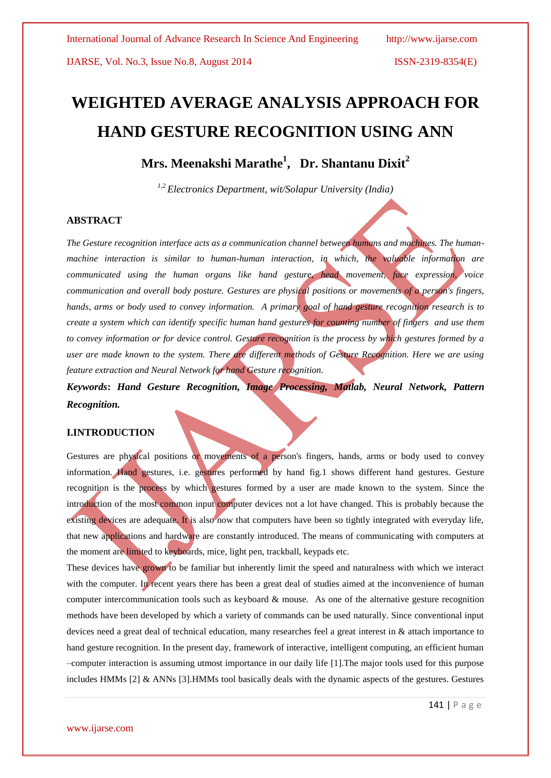# **WEIGHTED AVERAGE ANALYSIS APPROACH FOR HAND GESTURE RECOGNITION USING ANN**

# **Mrs. Meenakshi Marathe<sup>1</sup> , Dr. Shantanu Dixit<sup>2</sup>**

*1,2 Electronics Department, wit/Solapur University (India)*

## **ABSTRACT**

*The Gesture recognition interface acts as a communication channel between humans and machines. The humanmachine interaction is similar to human-human interaction, in which, the valuable information are communicated using the human organs like hand gesture, head movement, face expression, voice communication and overall body posture. Gestures are physical positions or movements of a person's fingers, hands, arms or body used to convey information. A primary goal of hand gesture recognition research is to create a system which can identify specific human hand gestures for counting number of fingers and use them to convey information or for device control. Gesture recognition is the process by which gestures formed by a user are made known to the system. There are different methods of Gesture Recognition. Here we are using feature extraction and Neural Network for hand Gesture recognition.*

## *Keywords***:** *Hand Gesture Recognition, Image Processing, Matlab, Neural Network, Pattern Recognition.*

## **I.INTRODUCTION**

Gestures are physical positions or movements of a person's fingers, hands, arms or body used to convey information. Hand gestures, i.e. gestures performed by hand fig.1 shows different hand gestures. Gesture recognition is the process by which gestures formed by a user are made known to the system. Since the introduction of the most common input computer devices not a lot have changed. This is probably because the existing devices are adequate. It is also now that computers have been so tightly integrated with everyday life, that new applications and hardware are constantly introduced. The means of communicating with computers at the moment are limited to keyboards, mice, light pen, trackball, keypads etc.

These devices have grown to be familiar but inherently limit the speed and naturalness with which we interact with the computer. In recent years there has been a great deal of studies aimed at the inconvenience of human computer intercommunication tools such as keyboard & mouse. As one of the alternative gesture recognition methods have been developed by which a variety of commands can be used naturally. Since conventional input devices need a great deal of technical education, many researches feel a great interest in & attach importance to hand gesture recognition. In the present day, framework of interactive, intelligent computing, an efficient human –computer interaction is assuming utmost importance in our daily life [1].The major tools used for this purpose includes HMMs [2] & ANNs [3].HMMs tool basically deals with the dynamic aspects of the gestures. Gestures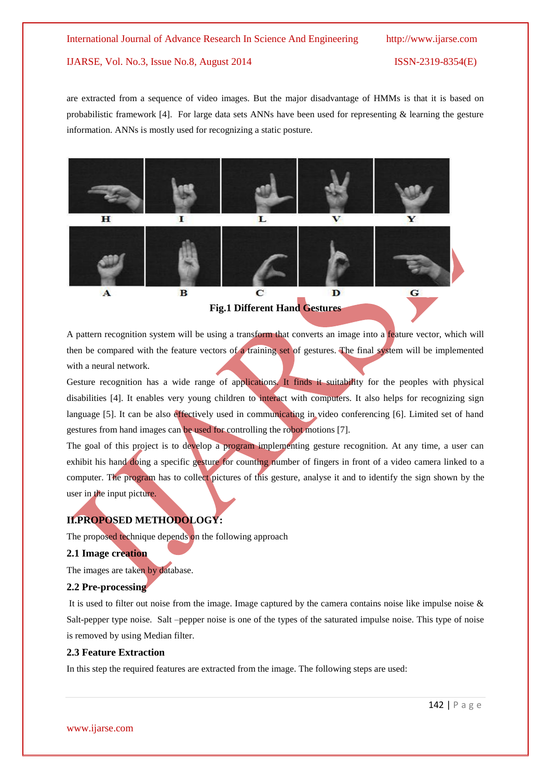are extracted from a sequence of video images. But the major disadvantage of HMMs is that it is based on probabilistic framework [4]. For large data sets ANNs have been used for representing & learning the gesture information. ANNs is mostly used for recognizing a static posture.



A pattern recognition system will be using a transform that converts an image into a feature vector, which will then be compared with the feature vectors of a training set of gestures. The final system will be implemented with a neural network.

Gesture recognition has a wide range of applications. It finds it suitability for the peoples with physical disabilities [4]. It enables very young children to interact with computers. It also helps for recognizing sign language [5]. It can be also effectively used in communicating in video conferencing [6]. Limited set of hand gestures from hand images can be used for controlling the robot motions [7].

The goal of this project is to develop a program implementing gesture recognition. At any time, a user can exhibit his hand doing a specific gesture for counting number of fingers in front of a video camera linked to a computer. The program has to collect pictures of this gesture, analyse it and to identify the sign shown by the user in the input picture.

## **II.PROPOSED METHODOLOGY:**

The proposed technique depends on the following approach

## **2.1 Image creation**

The images are taken by database.

## **2.2 Pre-processing**

It is used to filter out noise from the image. Image captured by the camera contains noise like impulse noise  $\&$ Salt-pepper type noise. Salt –pepper noise is one of the types of the saturated impulse noise. This type of noise is removed by using Median filter.

## **2.3 Feature Extraction**

In this step the required features are extracted from the image. The following steps are used: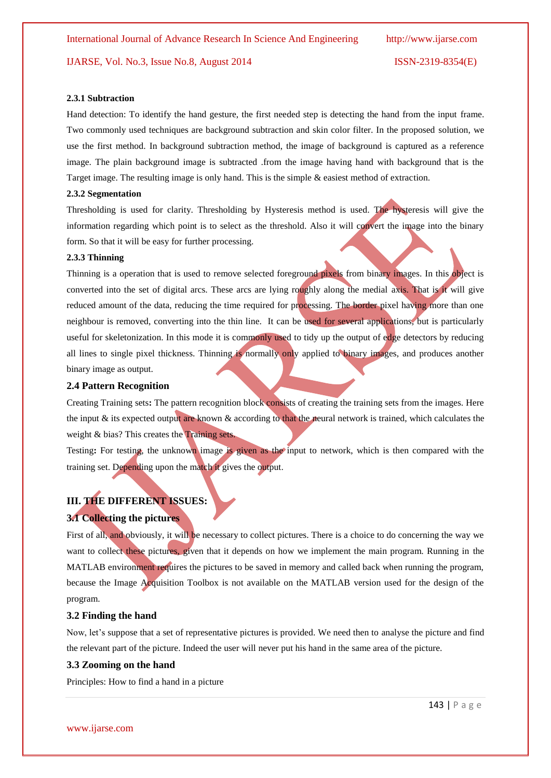## **2.3.1 Subtraction**

Hand detection: To identify the hand gesture, the first needed step is detecting the hand from the input frame. Two commonly used techniques are background subtraction and skin color filter. In the proposed solution, we use the first method. In background subtraction method, the image of background is captured as a reference image. The plain background image is subtracted .from the image having hand with background that is the Target image. The resulting image is only hand. This is the simple & easiest method of extraction.

#### **2.3.2 Segmentation**

Thresholding is used for clarity. Thresholding by Hysteresis method is used. The hysteresis will give the information regarding which point is to select as the threshold. Also it will convert the image into the binary form. So that it will be easy for further processing.

## **2.3.3 Thinning**

Thinning is a operation that is used to remove selected foreground pixels from binary images. In this object is converted into the set of digital arcs. These arcs are lying roughly along the medial axis. That is it will give reduced amount of the data, reducing the time required for processing. The border pixel having more than one neighbour is removed, converting into the thin line. It can be used for several applications, but is particularly useful for skeletonization. In this mode it is commonly used to tidy up the output of edge detectors by reducing all lines to single pixel thickness. Thinning is normally only applied to binary images, and produces another binary image as output.

#### **2.4 Pattern Recognition**

Creating Training sets**:** The pattern recognition block consists of creating the training sets from the images. Here the input & its expected output are known & according to that the neural network is trained, which calculates the weight & bias? This creates the Training sets.

Testing**:** For testing, the unknown image is given as the input to network, which is then compared with the training set. Depending upon the match it gives the output.

## **III. THE DIFFERENT ISSUES:**

## **3.1 Collecting the pictures**

First of all, and obviously, it will be necessary to collect pictures. There is a choice to do concerning the way we want to collect these pictures, given that it depends on how we implement the main program. Running in the MATLAB environment requires the pictures to be saved in memory and called back when running the program, because the Image Acquisition Toolbox is not available on the MATLAB version used for the design of the program.

## **3.2 Finding the hand**

Now, let's suppose that a set of representative pictures is provided. We need then to analyse the picture and find the relevant part of the picture. Indeed the user will never put his hand in the same area of the picture.

#### **3.3 Zooming on the hand**

Principles: How to find a hand in a picture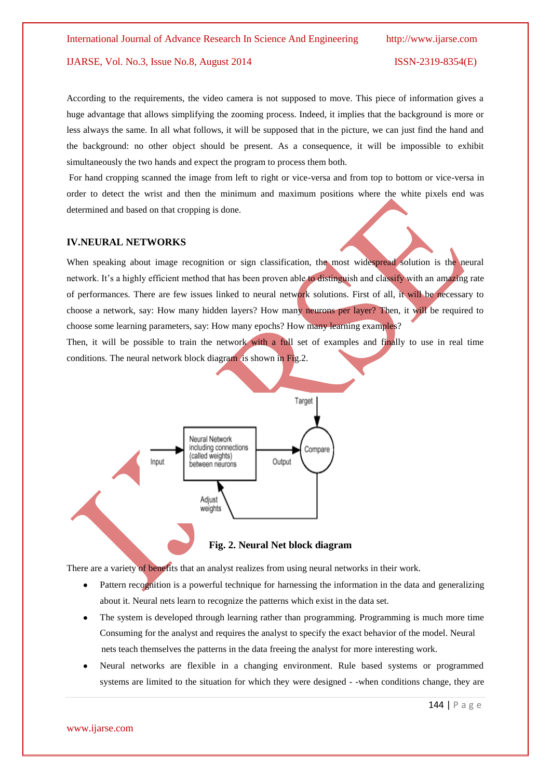According to the requirements, the video camera is not supposed to move. This piece of information gives a huge advantage that allows simplifying the zooming process. Indeed, it implies that the background is more or less always the same. In all what follows, it will be supposed that in the picture, we can just find the hand and the background: no other object should be present. As a consequence, it will be impossible to exhibit simultaneously the two hands and expect the program to process them both.

For hand cropping scanned the image from left to right or vice-versa and from top to bottom or vice-versa in order to detect the wrist and then the minimum and maximum positions where the white pixels end was determined and based on that cropping is done.

## **IV.NEURAL NETWORKS**

When speaking about image recognition or sign classification, the most widespread solution is the neural network. It's a highly efficient method that has been proven able to distinguish and classify with an amazing rate of performances. There are few issues linked to neural network solutions. First of all, it will be necessary to choose a network, say: How many hidden layers? How many neurons per layer? Then, it will be required to choose some learning parameters, say: How many epochs? How many learning examples?

Then, it will be possible to train the network with a full set of examples and finally to use in real time conditions. The neural network block diagram is shown in Fig.2.



There are a variety of benefits that an analyst realizes from using neural networks in their work.

- $\bullet$ Pattern recognition is a powerful technique for harnessing the information in the data and generalizing about it. Neural nets learn to recognize the patterns which exist in the data set.
- $\bullet$ The system is developed through learning rather than programming. Programming is much more time Consuming for the analyst and requires the analyst to specify the exact behavior of the model. Neural nets teach themselves the patterns in the data freeing the analyst for more interesting work.
- Neural networks are flexible in a changing environment. Rule based systems or programmed systems are limited to the situation for which they were designed - -when conditions change, they are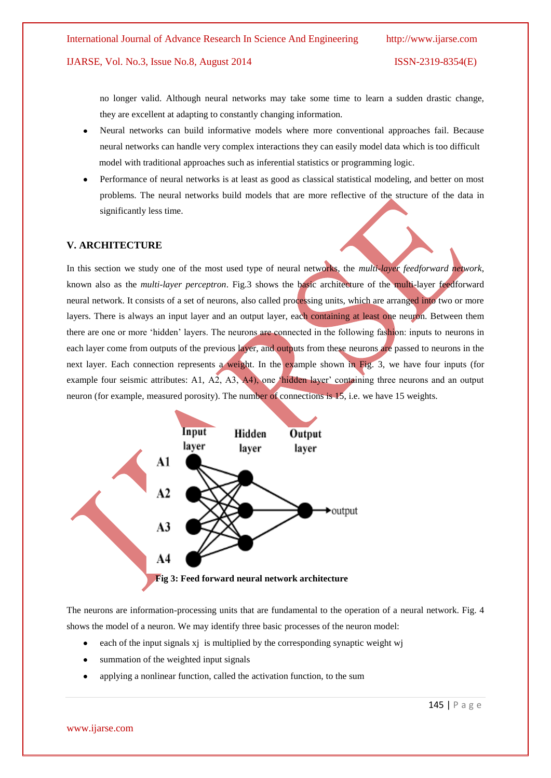no longer valid. Although neural networks may take some time to learn a sudden drastic change, they are excellent at adapting to constantly changing information.

- Neural networks can build informative models where more conventional approaches fail. Because  $\bullet$ neural networks can handle very complex interactions they can easily model data which is too difficult model with traditional approaches such as inferential statistics or programming logic.
- Performance of neural networks is at least as good as classical statistical modeling, and better on most problems. The neural networks build models that are more reflective of the structure of the data in significantly less time.

#### **V. ARCHITECTURE**

In this section we study one of the most used type of neural networks, the *multi-layer feedforward network*, known also as the *multi-layer perceptron*. Fig.3 shows the basic architecture of the multi-layer feedforward neural network. It consists of a set of neurons, also called processing units, which are arranged into two or more layers. There is always an input layer and an output layer, each containing at least one neuron. Between them there are one or more ‗hidden' layers. The neurons are connected in the following fashion: inputs to neurons in each layer come from outputs of the previous layer, and outputs from these neurons are passed to neurons in the next layer. Each connection represents a weight. In the example shown in Fig. 3, we have four inputs (for example four seismic attributes: A1, A2, A3, A4), one <sup>s</sup>hidden layer' containing three neurons and an output neuron (for example, measured porosity). The number of connections is 15, i.e. we have 15 weights.



The neurons are information-processing units that are fundamental to the operation of a neural network. Fig. 4 shows the model of a neuron. We may identify three basic processes of the neuron model:

- each of the input signals xj is multiplied by the corresponding synaptic weight wj  $\bullet$
- $\bullet$ summation of the weighted input signals
- applying a nonlinear function, called the activation function, to the sum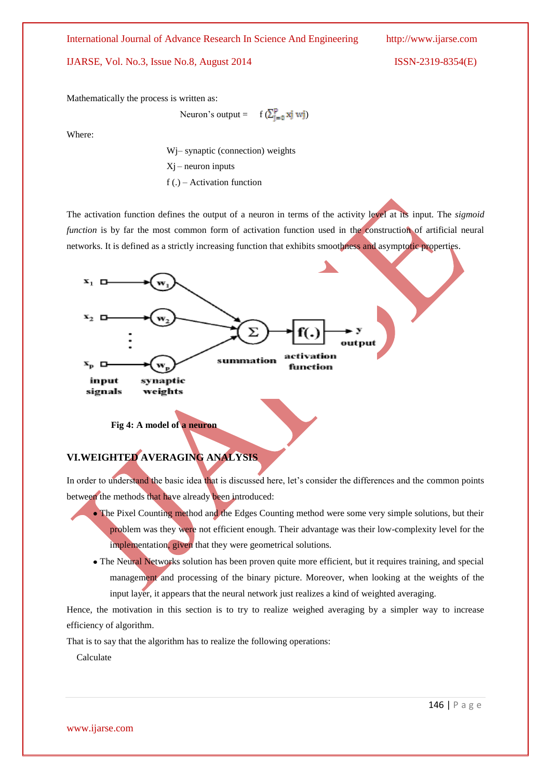International Journal of Advance Research In Science And Engineering http://www.ijarse.com

IJARSE, Vol. No.3, Issue No.8, August 2014 ISSN-2319-8354(E)

Mathematically the process is written as:

Neuron's output =  $f(\sum_{i=0}^p x^i)$  wj

Where:

Wj– synaptic (connection) weights  $Xi$  – neuron inputs  $f(.)$  – Activation function

The activation function defines the output of a neuron in terms of the activity level at its input. The *sigmoid function* is by far the most common form of activation function used in the construction of artificial neural networks. It is defined as a strictly increasing function that exhibits smoothness and asymptotic properties.



 **Fig 4: A model of a neuron**

## **VI.WEIGHTED AVERAGING ANALYSIS**

In order to understand the basic idea that is discussed here, let's consider the differences and the common points between the methods that have already been introduced:

- The Pixel Counting method and the Edges Counting method were some very simple solutions, but their problem was they were not efficient enough. Their advantage was their low-complexity level for the implementation, given that they were geometrical solutions.
- The Neural Networks solution has been proven quite more efficient, but it requires training, and special management and processing of the binary picture. Moreover, when looking at the weights of the input layer, it appears that the neural network just realizes a kind of weighted averaging.

Hence, the motivation in this section is to try to realize weighed averaging by a simpler way to increase efficiency of algorithm.

That is to say that the algorithm has to realize the following operations:

Calculate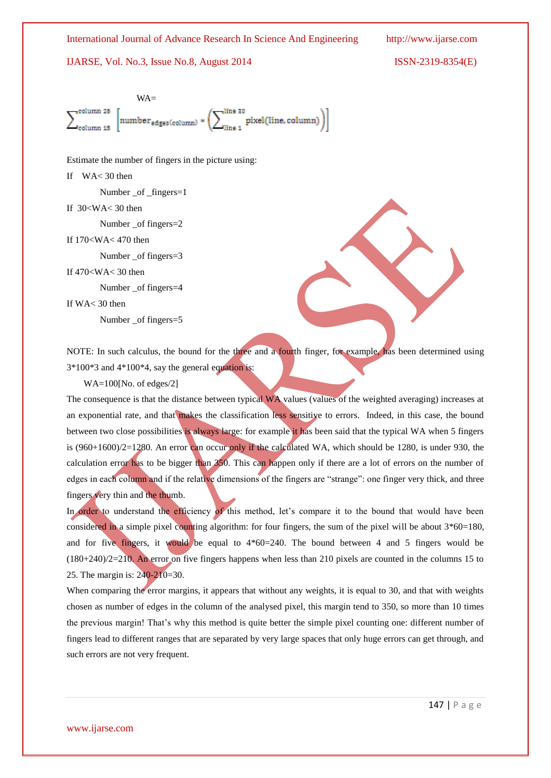

Estimate the number of fingers in the picture using:

If WA< 30 then

Number \_of \_fingers=1

If 30<WA< 30 then

Number \_of fingers=2

If 170<WA< 470 then

Number \_of fingers=3

If 470<WA< 30 then

Number \_of fingers=4

If WA< 30 then

Number \_of fingers=5

NOTE: In such calculus, the bound for the three and a fourth finger, for example, has been determined using 3\*100\*3 and 4\*100\*4, say the general equation is:

WA=100[No. of edges/2]

The consequence is that the distance between typical WA values (values of the weighted averaging) increases at an exponential rate, and that makes the classification less sensitive to errors. Indeed, in this case, the bound between two close possibilities is always large: for example it has been said that the typical WA when 5 fingers is (960+1600)/2=1280. An error can occur only if the calculated WA, which should be 1280, is under 930, the calculation error has to be bigger than 350. This can happen only if there are a lot of errors on the number of edges in each column and if the relative dimensions of the fingers are "strange": one finger very thick, and three fingers very thin and the thumb.

In order to understand the efficiency of this method, let's compare it to the bound that would have been considered in a simple pixel counting algorithm: for four fingers, the sum of the pixel will be about  $3*60=180$ , and for five fingers, it would be equal to  $4*60=240$ . The bound between 4 and 5 fingers would be (180+240)/2=210. An error on five fingers happens when less than 210 pixels are counted in the columns 15 to 25. The margin is: 240-210=30.

When comparing the error margins, it appears that without any weights, it is equal to 30, and that with weights chosen as number of edges in the column of the analysed pixel, this margin tend to 350, so more than 10 times the previous margin! That's why this method is quite better the simple pixel counting one: different number of fingers lead to different ranges that are separated by very large spaces that only huge errors can get through, and such errors are not very frequent.